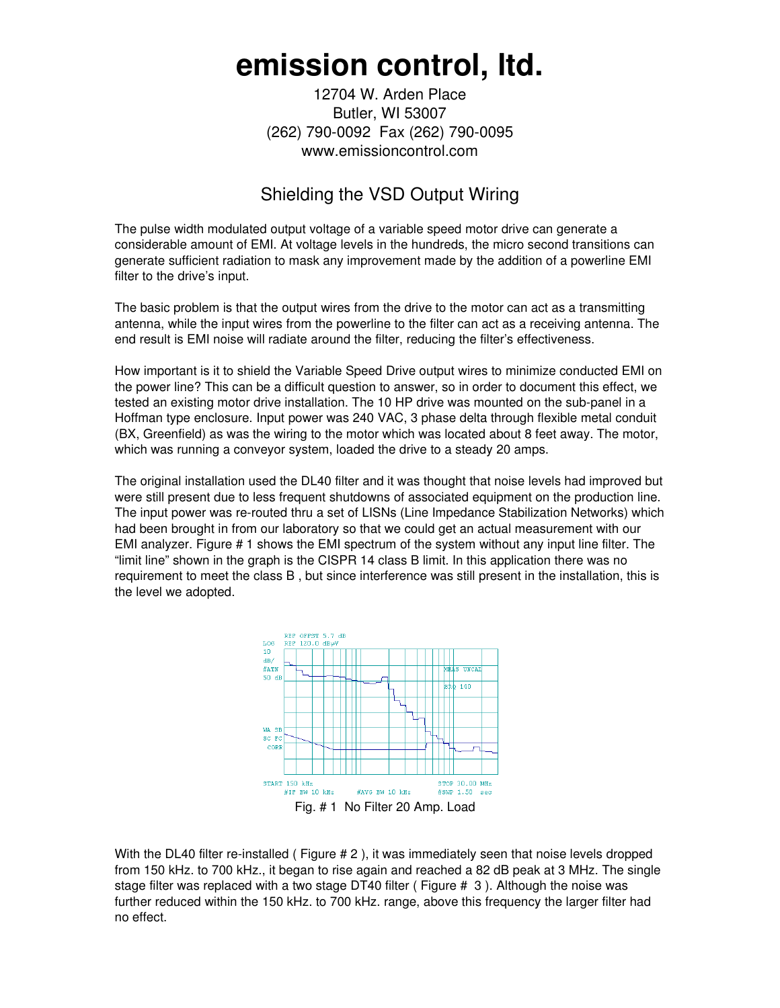## **emission control, ltd.**

12704 W. Arden Place Butler, WI 53007 (262) 790-0092 Fax (262) 790-0095 www.emissioncontrol.com

## Shielding the VSD Output Wiring

The pulse width modulated output voltage of a variable speed motor drive can generate a considerable amount of EMI. At voltage levels in the hundreds, the micro second transitions can generate sufficient radiation to mask any improvement made by the addition of a powerline EMI filter to the drive's input.

The basic problem is that the output wires from the drive to the motor can act as a transmitting antenna, while the input wires from the powerline to the filter can act as a receiving antenna. The end result is EMI noise will radiate around the filter, reducing the filter's effectiveness.

How important is it to shield the Variable Speed Drive output wires to minimize conducted EMI on the power line? This can be a difficult question to answer, so in order to document this effect, we tested an existing motor drive installation. The 10 HP drive was mounted on the sub-panel in a Hoffman type enclosure. Input power was 240 VAC, 3 phase delta through flexible metal conduit (BX, Greenfield) as was the wiring to the motor which was located about 8 feet away. The motor, which was running a conveyor system, loaded the drive to a steady 20 amps.

The original installation used the DL40 filter and it was thought that noise levels had improved but were still present due to less frequent shutdowns of associated equipment on the production line. The input power was re-routed thru a set of LISNs (Line Impedance Stabilization Networks) which had been brought in from our laboratory so that we could get an actual measurement with our EMI analyzer. Figure # 1 shows the EMI spectrum of the system without any input line filter. The "limit line" shown in the graph is the CISPR 14 class B limit. In this application there was no requirement to meet the class B , but since interference was still present in the installation, this is the level we adopted.



With the DL40 filter re-installed ( Figure # 2), it was immediately seen that noise levels dropped from 150 kHz. to 700 kHz., it began to rise again and reached a 82 dB peak at 3 MHz. The single stage filter was replaced with a two stage DT40 filter ( Figure # 3 ). Although the noise was further reduced within the 150 kHz. to 700 kHz. range, above this frequency the larger filter had no effect.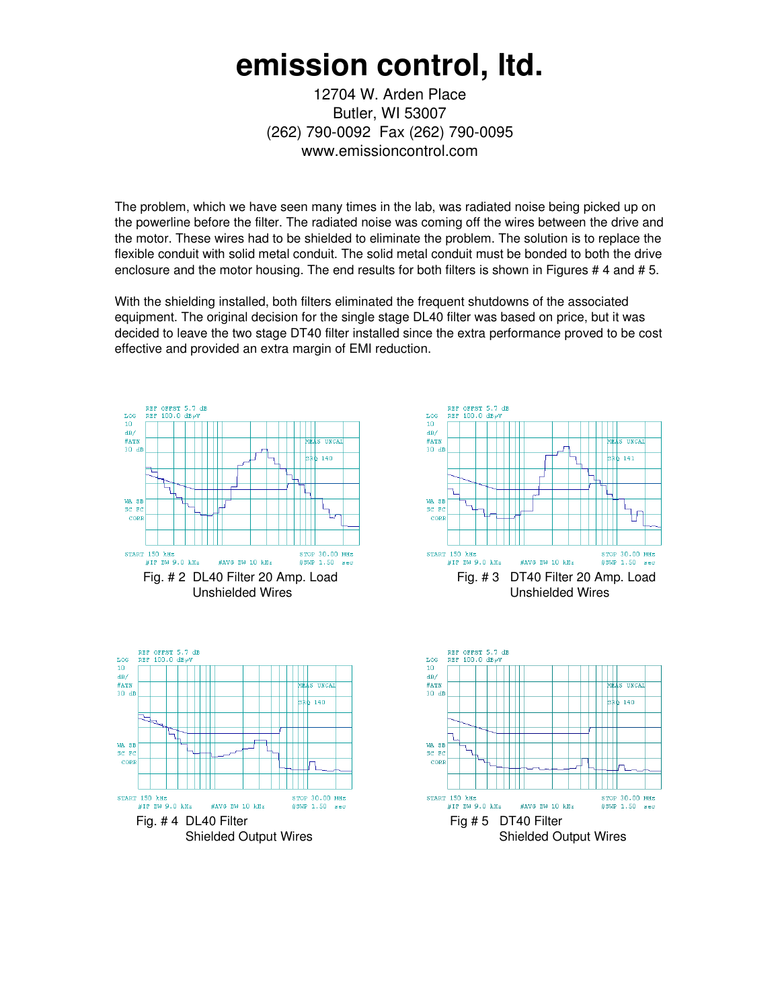## **emission control, ltd.**

12704 W. Arden Place Butler, WI 53007 (262) 790-0092 Fax (262) 790-0095 www.emissioncontrol.com

The problem, which we have seen many times in the lab, was radiated noise being picked up on the powerline before the filter. The radiated noise was coming off the wires between the drive and the motor. These wires had to be shielded to eliminate the problem. The solution is to replace the flexible conduit with solid metal conduit. The solid metal conduit must be bonded to both the drive enclosure and the motor housing. The end results for both filters is shown in Figures #4 and #5.

With the shielding installed, both filters eliminated the frequent shutdowns of the associated equipment. The original decision for the single stage DL40 filter was based on price, but it was decided to leave the two stage DT40 filter installed since the extra performance proved to be cost effective and provided an extra margin of EMI reduction.